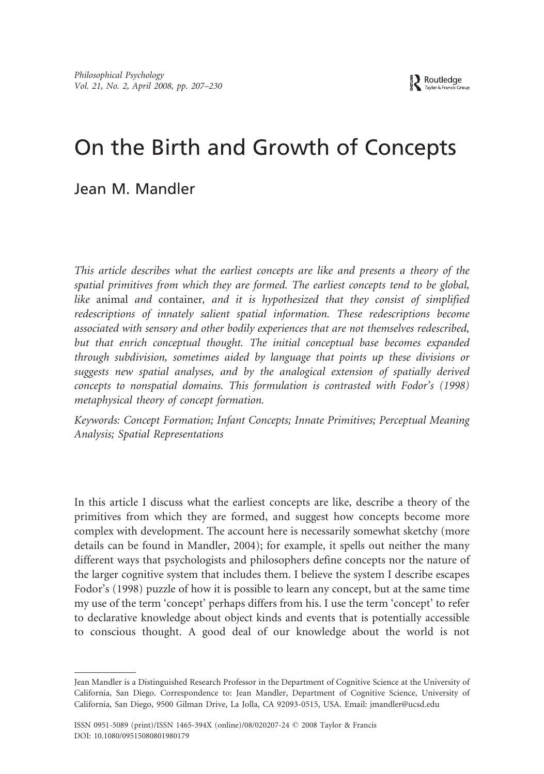# On the Birth and Growth of Concepts

# Jean M. Mandler

This article describes what the earliest concepts are like and presents a theory of the spatial primitives from which they are formed. The earliest concepts tend to be global, like animal and container, and it is hypothesized that they consist of simplified redescriptions of innately salient spatial information. These redescriptions become associated with sensory and other bodily experiences that are not themselves redescribed, but that enrich conceptual thought. The initial conceptual base becomes expanded through subdivision, sometimes aided by language that points up these divisions or suggests new spatial analyses, and by the analogical extension of spatially derived concepts to nonspatial domains. This formulation is contrasted with Fodor's (1998) metaphysical theory of concept formation.

Keywords: Concept Formation; Infant Concepts; Innate Primitives; Perceptual Meaning Analysis; Spatial Representations

In this article I discuss what the earliest concepts are like, describe a theory of the primitives from which they are formed, and suggest how concepts become more complex with development. The account here is necessarily somewhat sketchy (more details can be found in Mandler, 2004); for example, it spells out neither the many different ways that psychologists and philosophers define concepts nor the nature of the larger cognitive system that includes them. I believe the system I describe escapes Fodor's (1998) puzzle of how it is possible to learn any concept, but at the same time my use of the term 'concept' perhaps differs from his. I use the term 'concept' to refer to declarative knowledge about object kinds and events that is potentially accessible to conscious thought. A good deal of our knowledge about the world is not

Jean Mandler is a Distinguished Research Professor in the Department of Cognitive Science at the University of California, San Diego. Correspondence to: Jean Mandler, Department of Cognitive Science, University of California, San Diego, 9500 Gilman Drive, La Jolla, CA 92093-0515, USA. Email: jmandler@ucsd.edu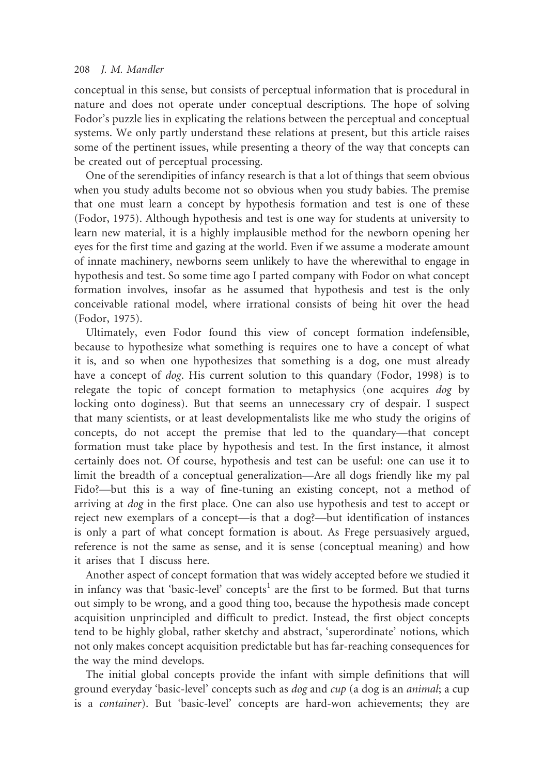conceptual in this sense, but consists of perceptual information that is procedural in nature and does not operate under conceptual descriptions. The hope of solving Fodor's puzzle lies in explicating the relations between the perceptual and conceptual systems. We only partly understand these relations at present, but this article raises some of the pertinent issues, while presenting a theory of the way that concepts can be created out of perceptual processing.

One of the serendipities of infancy research is that a lot of things that seem obvious when you study adults become not so obvious when you study babies. The premise that one must learn a concept by hypothesis formation and test is one of these (Fodor, 1975). Although hypothesis and test is one way for students at university to learn new material, it is a highly implausible method for the newborn opening her eyes for the first time and gazing at the world. Even if we assume a moderate amount of innate machinery, newborns seem unlikely to have the wherewithal to engage in hypothesis and test. So some time ago I parted company with Fodor on what concept formation involves, insofar as he assumed that hypothesis and test is the only conceivable rational model, where irrational consists of being hit over the head (Fodor, 1975).

Ultimately, even Fodor found this view of concept formation indefensible, because to hypothesize what something is requires one to have a concept of what it is, and so when one hypothesizes that something is a dog, one must already have a concept of *dog*. His current solution to this quandary (Fodor, 1998) is to relegate the topic of concept formation to metaphysics (one acquires dog by locking onto doginess). But that seems an unnecessary cry of despair. I suspect that many scientists, or at least developmentalists like me who study the origins of concepts, do not accept the premise that led to the quandary—that concept formation must take place by hypothesis and test. In the first instance, it almost certainly does not. Of course, hypothesis and test can be useful: one can use it to limit the breadth of a conceptual generalization—Are all dogs friendly like my pal Fido?—but this is a way of fine-tuning an existing concept, not a method of arriving at *dog* in the first place. One can also use hypothesis and test to accept or reject new exemplars of a concept—is that a dog?—but identification of instances is only a part of what concept formation is about. As Frege persuasively argued, reference is not the same as sense, and it is sense (conceptual meaning) and how it arises that I discuss here.

Another aspect of concept formation that was widely accepted before we studied it in infancy was that 'basic-level' concepts<sup>1</sup> are the first to be formed. But that turns out simply to be wrong, and a good thing too, because the hypothesis made concept acquisition unprincipled and difficult to predict. Instead, the first object concepts tend to be highly global, rather sketchy and abstract, 'superordinate' notions, which not only makes concept acquisition predictable but has far-reaching consequences for the way the mind develops.

The initial global concepts provide the infant with simple definitions that will ground everyday 'basic-level' concepts such as dog and cup (a dog is an animal; a cup is a *container*). But 'basic-level' concepts are hard-won achievements; they are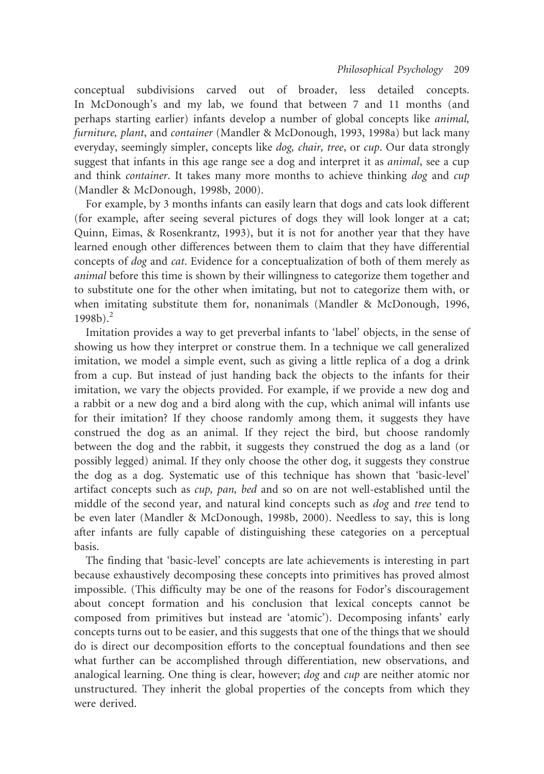conceptual subdivisions carved out of broader, less detailed concepts. In McDonough's and my lab, we found that between 7 and 11 months (and perhaps starting earlier) infants develop a number of global concepts like animal, furniture, plant, and container (Mandler & McDonough, 1993, 1998a) but lack many everyday, seemingly simpler, concepts like dog, chair, tree, or cup. Our data strongly suggest that infants in this age range see a dog and interpret it as *animal*, see a cup and think *container*. It takes many more months to achieve thinking *dog* and *cup* (Mandler & McDonough, 1998b, 2000).

For example, by 3 months infants can easily learn that dogs and cats look different (for example, after seeing several pictures of dogs they will look longer at a cat; Quinn, Eimas, & Rosenkrantz, 1993), but it is not for another year that they have learned enough other differences between them to claim that they have differential concepts of dog and cat. Evidence for a conceptualization of both of them merely as *animal* before this time is shown by their willingness to categorize them together and to substitute one for the other when imitating, but not to categorize them with, or when imitating substitute them for, nonanimals (Mandler & McDonough, 1996,  $1998b$ ).<sup>2</sup>

Imitation provides a way to get preverbal infants to 'label' objects, in the sense of showing us how they interpret or construe them. In a technique we call generalized imitation, we model a simple event, such as giving a little replica of a dog a drink from a cup. But instead of just handing back the objects to the infants for their imitation, we vary the objects provided. For example, if we provide a new dog and a rabbit or a new dog and a bird along with the cup, which animal will infants use for their imitation? If they choose randomly among them, it suggests they have construed the dog as an animal. If they reject the bird, but choose randomly between the dog and the rabbit, it suggests they construed the dog as a land (or possibly legged) animal. If they only choose the other dog, it suggests they construe the dog as a dog. Systematic use of this technique has shown that 'basic-level' artifact concepts such as *cup*, pan, bed and so on are not well-established until the middle of the second year, and natural kind concepts such as *dog* and *tree* tend to be even later (Mandler & McDonough, 1998b, 2000). Needless to say, this is long after infants are fully capable of distinguishing these categories on a perceptual basis.

The finding that 'basic-level' concepts are late achievements is interesting in part because exhaustively decomposing these concepts into primitives has proved almost impossible. (This difficulty may be one of the reasons for Fodor's discouragement about concept formation and his conclusion that lexical concepts cannot be composed from primitives but instead are 'atomic'). Decomposing infants' early concepts turns out to be easier, and this suggests that one of the things that we should do is direct our decomposition efforts to the conceptual foundations and then see what further can be accomplished through differentiation, new observations, and analogical learning. One thing is clear, however; dog and cup are neither atomic nor unstructured. They inherit the global properties of the concepts from which they were derived.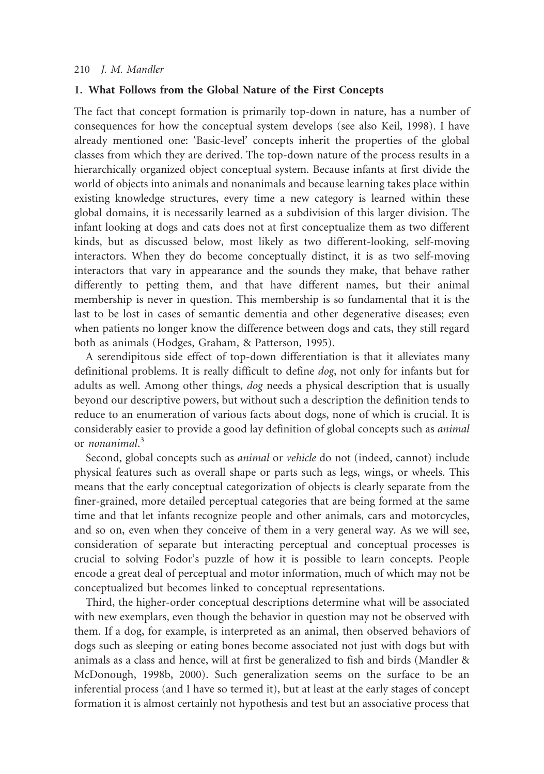# 1. What Follows from the Global Nature of the First Concepts

The fact that concept formation is primarily top-down in nature, has a number of consequences for how the conceptual system develops (see also Keil, 1998). I have already mentioned one: 'Basic-level' concepts inherit the properties of the global classes from which they are derived. The top-down nature of the process results in a hierarchically organized object conceptual system. Because infants at first divide the world of objects into animals and nonanimals and because learning takes place within existing knowledge structures, every time a new category is learned within these global domains, it is necessarily learned as a subdivision of this larger division. The infant looking at dogs and cats does not at first conceptualize them as two different kinds, but as discussed below, most likely as two different-looking, self-moving interactors. When they do become conceptually distinct, it is as two self-moving interactors that vary in appearance and the sounds they make, that behave rather differently to petting them, and that have different names, but their animal membership is never in question. This membership is so fundamental that it is the last to be lost in cases of semantic dementia and other degenerative diseases; even when patients no longer know the difference between dogs and cats, they still regard both as animals (Hodges, Graham, & Patterson, 1995).

A serendipitous side effect of top-down differentiation is that it alleviates many definitional problems. It is really difficult to define dog, not only for infants but for adults as well. Among other things, dog needs a physical description that is usually beyond our descriptive powers, but without such a description the definition tends to reduce to an enumeration of various facts about dogs, none of which is crucial. It is considerably easier to provide a good lay definition of global concepts such as animal or nonanimal.<sup>3</sup>

Second, global concepts such as animal or vehicle do not (indeed, cannot) include physical features such as overall shape or parts such as legs, wings, or wheels. This means that the early conceptual categorization of objects is clearly separate from the finer-grained, more detailed perceptual categories that are being formed at the same time and that let infants recognize people and other animals, cars and motorcycles, and so on, even when they conceive of them in a very general way. As we will see, consideration of separate but interacting perceptual and conceptual processes is crucial to solving Fodor's puzzle of how it is possible to learn concepts. People encode a great deal of perceptual and motor information, much of which may not be conceptualized but becomes linked to conceptual representations.

Third, the higher-order conceptual descriptions determine what will be associated with new exemplars, even though the behavior in question may not be observed with them. If a dog, for example, is interpreted as an animal, then observed behaviors of dogs such as sleeping or eating bones become associated not just with dogs but with animals as a class and hence, will at first be generalized to fish and birds (Mandler & McDonough, 1998b, 2000). Such generalization seems on the surface to be an inferential process (and I have so termed it), but at least at the early stages of concept formation it is almost certainly not hypothesis and test but an associative process that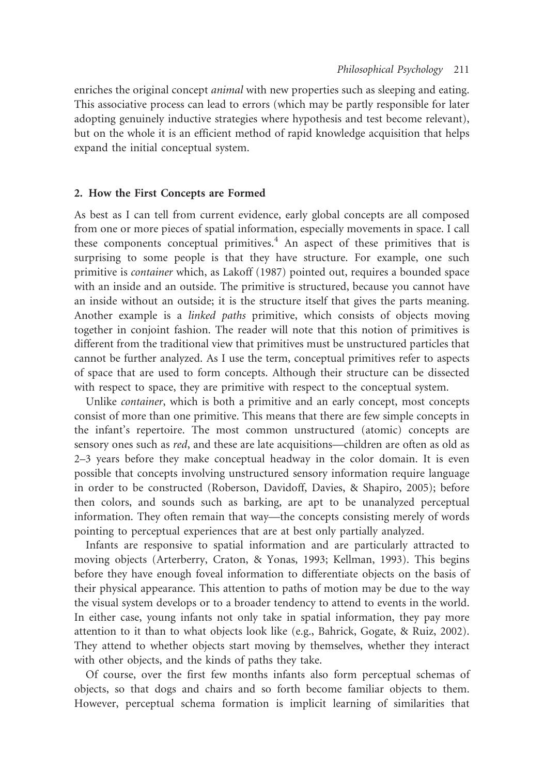enriches the original concept *animal* with new properties such as sleeping and eating. This associative process can lead to errors (which may be partly responsible for later adopting genuinely inductive strategies where hypothesis and test become relevant), but on the whole it is an efficient method of rapid knowledge acquisition that helps expand the initial conceptual system.

# 2. How the First Concepts are Formed

As best as I can tell from current evidence, early global concepts are all composed from one or more pieces of spatial information, especially movements in space. I call these components conceptual primitives.<sup>4</sup> An aspect of these primitives that is surprising to some people is that they have structure. For example, one such primitive is container which, as Lakoff (1987) pointed out, requires a bounded space with an inside and an outside. The primitive is structured, because you cannot have an inside without an outside; it is the structure itself that gives the parts meaning. Another example is a linked paths primitive, which consists of objects moving together in conjoint fashion. The reader will note that this notion of primitives is different from the traditional view that primitives must be unstructured particles that cannot be further analyzed. As I use the term, conceptual primitives refer to aspects of space that are used to form concepts. Although their structure can be dissected with respect to space, they are primitive with respect to the conceptual system.

Unlike container, which is both a primitive and an early concept, most concepts consist of more than one primitive. This means that there are few simple concepts in the infant's repertoire. The most common unstructured (atomic) concepts are sensory ones such as *red*, and these are late acquisitions—children are often as old as 2–3 years before they make conceptual headway in the color domain. It is even possible that concepts involving unstructured sensory information require language in order to be constructed (Roberson, Davidoff, Davies, & Shapiro, 2005); before then colors, and sounds such as barking, are apt to be unanalyzed perceptual information. They often remain that way—the concepts consisting merely of words pointing to perceptual experiences that are at best only partially analyzed.

Infants are responsive to spatial information and are particularly attracted to moving objects (Arterberry, Craton, & Yonas, 1993; Kellman, 1993). This begins before they have enough foveal information to differentiate objects on the basis of their physical appearance. This attention to paths of motion may be due to the way the visual system develops or to a broader tendency to attend to events in the world. In either case, young infants not only take in spatial information, they pay more attention to it than to what objects look like (e.g., Bahrick, Gogate, & Ruiz, 2002). They attend to whether objects start moving by themselves, whether they interact with other objects, and the kinds of paths they take.

Of course, over the first few months infants also form perceptual schemas of objects, so that dogs and chairs and so forth become familiar objects to them. However, perceptual schema formation is implicit learning of similarities that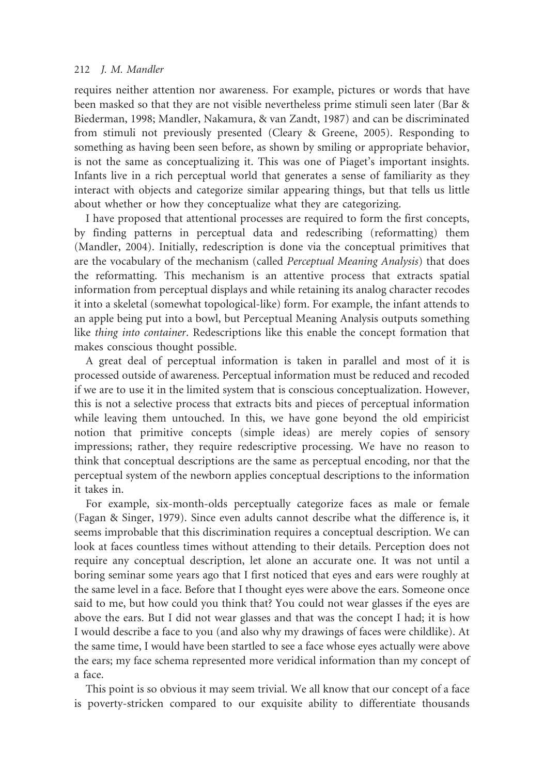requires neither attention nor awareness. For example, pictures or words that have been masked so that they are not visible nevertheless prime stimuli seen later (Bar & Biederman, 1998; Mandler, Nakamura, & van Zandt, 1987) and can be discriminated from stimuli not previously presented (Cleary & Greene, 2005). Responding to something as having been seen before, as shown by smiling or appropriate behavior, is not the same as conceptualizing it. This was one of Piaget's important insights. Infants live in a rich perceptual world that generates a sense of familiarity as they interact with objects and categorize similar appearing things, but that tells us little about whether or how they conceptualize what they are categorizing.

I have proposed that attentional processes are required to form the first concepts, by finding patterns in perceptual data and redescribing (reformatting) them (Mandler, 2004). Initially, redescription is done via the conceptual primitives that are the vocabulary of the mechanism (called *Perceptual Meaning Analysis*) that does the reformatting. This mechanism is an attentive process that extracts spatial information from perceptual displays and while retaining its analog character recodes it into a skeletal (somewhat topological-like) form. For example, the infant attends to an apple being put into a bowl, but Perceptual Meaning Analysis outputs something like thing into container. Redescriptions like this enable the concept formation that makes conscious thought possible.

A great deal of perceptual information is taken in parallel and most of it is processed outside of awareness. Perceptual information must be reduced and recoded if we are to use it in the limited system that is conscious conceptualization. However, this is not a selective process that extracts bits and pieces of perceptual information while leaving them untouched. In this, we have gone beyond the old empiricist notion that primitive concepts (simple ideas) are merely copies of sensory impressions; rather, they require redescriptive processing. We have no reason to think that conceptual descriptions are the same as perceptual encoding, nor that the perceptual system of the newborn applies conceptual descriptions to the information it takes in.

For example, six-month-olds perceptually categorize faces as male or female (Fagan & Singer, 1979). Since even adults cannot describe what the difference is, it seems improbable that this discrimination requires a conceptual description. We can look at faces countless times without attending to their details. Perception does not require any conceptual description, let alone an accurate one. It was not until a boring seminar some years ago that I first noticed that eyes and ears were roughly at the same level in a face. Before that I thought eyes were above the ears. Someone once said to me, but how could you think that? You could not wear glasses if the eyes are above the ears. But I did not wear glasses and that was the concept I had; it is how I would describe a face to you (and also why my drawings of faces were childlike). At the same time, I would have been startled to see a face whose eyes actually were above the ears; my face schema represented more veridical information than my concept of a face.

This point is so obvious it may seem trivial. We all know that our concept of a face is poverty-stricken compared to our exquisite ability to differentiate thousands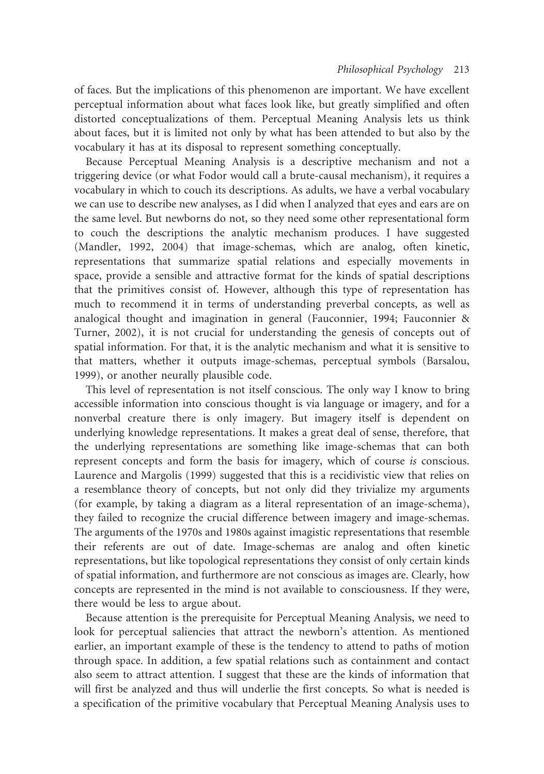of faces. But the implications of this phenomenon are important. We have excellent perceptual information about what faces look like, but greatly simplified and often distorted conceptualizations of them. Perceptual Meaning Analysis lets us think about faces, but it is limited not only by what has been attended to but also by the vocabulary it has at its disposal to represent something conceptually.

Because Perceptual Meaning Analysis is a descriptive mechanism and not a triggering device (or what Fodor would call a brute-causal mechanism), it requires a vocabulary in which to couch its descriptions. As adults, we have a verbal vocabulary we can use to describe new analyses, as I did when I analyzed that eyes and ears are on the same level. But newborns do not, so they need some other representational form to couch the descriptions the analytic mechanism produces. I have suggested (Mandler, 1992, 2004) that image-schemas, which are analog, often kinetic, representations that summarize spatial relations and especially movements in space, provide a sensible and attractive format for the kinds of spatial descriptions that the primitives consist of. However, although this type of representation has much to recommend it in terms of understanding preverbal concepts, as well as analogical thought and imagination in general (Fauconnier, 1994; Fauconnier & Turner, 2002), it is not crucial for understanding the genesis of concepts out of spatial information. For that, it is the analytic mechanism and what it is sensitive to that matters, whether it outputs image-schemas, perceptual symbols (Barsalou, 1999), or another neurally plausible code.

This level of representation is not itself conscious. The only way I know to bring accessible information into conscious thought is via language or imagery, and for a nonverbal creature there is only imagery. But imagery itself is dependent on underlying knowledge representations. It makes a great deal of sense, therefore, that the underlying representations are something like image-schemas that can both represent concepts and form the basis for imagery, which of course is conscious. Laurence and Margolis (1999) suggested that this is a recidivistic view that relies on a resemblance theory of concepts, but not only did they trivialize my arguments (for example, by taking a diagram as a literal representation of an image-schema), they failed to recognize the crucial difference between imagery and image-schemas. The arguments of the 1970s and 1980s against imagistic representations that resemble their referents are out of date. Image-schemas are analog and often kinetic representations, but like topological representations they consist of only certain kinds of spatial information, and furthermore are not conscious as images are. Clearly, how concepts are represented in the mind is not available to consciousness. If they were, there would be less to argue about.

Because attention is the prerequisite for Perceptual Meaning Analysis, we need to look for perceptual saliencies that attract the newborn's attention. As mentioned earlier, an important example of these is the tendency to attend to paths of motion through space. In addition, a few spatial relations such as containment and contact also seem to attract attention. I suggest that these are the kinds of information that will first be analyzed and thus will underlie the first concepts. So what is needed is a specification of the primitive vocabulary that Perceptual Meaning Analysis uses to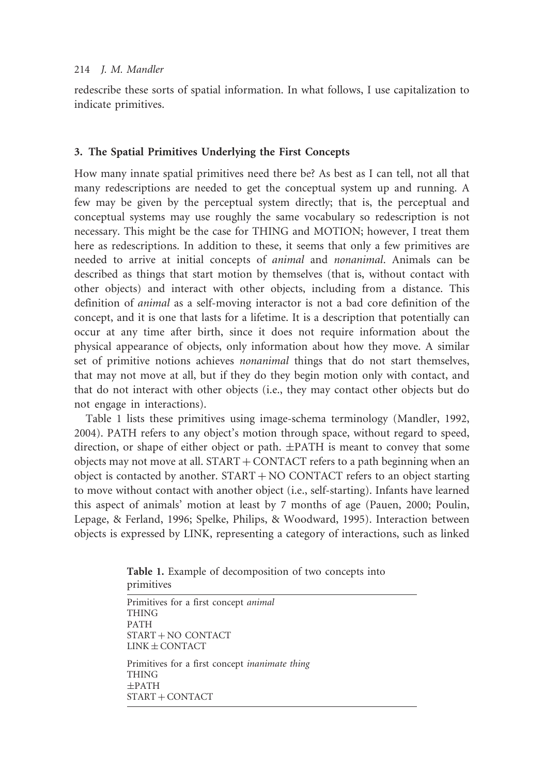redescribe these sorts of spatial information. In what follows, I use capitalization to indicate primitives.

# 3. The Spatial Primitives Underlying the First Concepts

How many innate spatial primitives need there be? As best as I can tell, not all that many redescriptions are needed to get the conceptual system up and running. A few may be given by the perceptual system directly; that is, the perceptual and conceptual systems may use roughly the same vocabulary so redescription is not necessary. This might be the case for THING and MOTION; however, I treat them here as redescriptions. In addition to these, it seems that only a few primitives are needed to arrive at initial concepts of animal and nonanimal. Animals can be described as things that start motion by themselves (that is, without contact with other objects) and interact with other objects, including from a distance. This definition of animal as a self-moving interactor is not a bad core definition of the concept, and it is one that lasts for a lifetime. It is a description that potentially can occur at any time after birth, since it does not require information about the physical appearance of objects, only information about how they move. A similar set of primitive notions achieves *nonanimal* things that do not start themselves, that may not move at all, but if they do they begin motion only with contact, and that do not interact with other objects (i.e., they may contact other objects but do not engage in interactions).

Table 1 lists these primitives using image-schema terminology (Mandler, 1992, 2004). PATH refers to any object's motion through space, without regard to speed, direction, or shape of either object or path.  $\pm$ PATH is meant to convey that some objects may not move at all.  $START + CONTROL$  refers to a path beginning when an object is contacted by another.  $START + NO$  CONTACT refers to an object starting to move without contact with another object (i.e., self-starting). Infants have learned this aspect of animals' motion at least by 7 months of age (Pauen, 2000; Poulin, Lepage, & Ferland, 1996; Spelke, Philips, & Woodward, 1995). Interaction between objects is expressed by LINK, representing a category of interactions, such as linked

|            | Table 1. Example of decomposition of two concepts into |  |  |
|------------|--------------------------------------------------------|--|--|
| primitives |                                                        |  |  |

Primitives for a first concept animal THING PATH  $START + NO$  CONTACT  $LINK  $\pm$  CONTACT$ Primitives for a first concept inanimate thing THING  $\pm$ PATH  $START + CONTACT$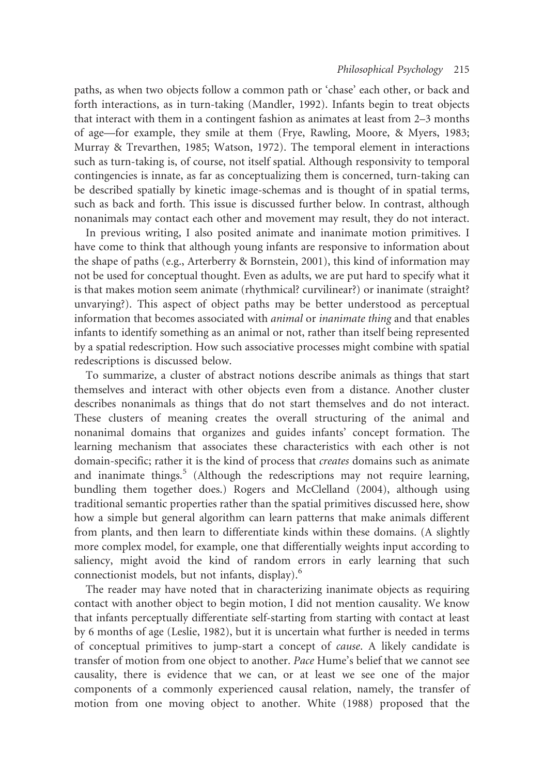paths, as when two objects follow a common path or 'chase' each other, or back and forth interactions, as in turn-taking (Mandler, 1992). Infants begin to treat objects that interact with them in a contingent fashion as animates at least from 2–3 months of age—for example, they smile at them (Frye, Rawling, Moore, & Myers, 1983; Murray & Trevarthen, 1985; Watson, 1972). The temporal element in interactions such as turn-taking is, of course, not itself spatial. Although responsivity to temporal contingencies is innate, as far as conceptualizing them is concerned, turn-taking can be described spatially by kinetic image-schemas and is thought of in spatial terms, such as back and forth. This issue is discussed further below. In contrast, although nonanimals may contact each other and movement may result, they do not interact.

In previous writing, I also posited animate and inanimate motion primitives. I have come to think that although young infants are responsive to information about the shape of paths (e.g., Arterberry & Bornstein, 2001), this kind of information may not be used for conceptual thought. Even as adults, we are put hard to specify what it is that makes motion seem animate (rhythmical? curvilinear?) or inanimate (straight? unvarying?). This aspect of object paths may be better understood as perceptual information that becomes associated with animal or inanimate thing and that enables infants to identify something as an animal or not, rather than itself being represented by a spatial redescription. How such associative processes might combine with spatial redescriptions is discussed below.

To summarize, a cluster of abstract notions describe animals as things that start themselves and interact with other objects even from a distance. Another cluster describes nonanimals as things that do not start themselves and do not interact. These clusters of meaning creates the overall structuring of the animal and nonanimal domains that organizes and guides infants' concept formation. The learning mechanism that associates these characteristics with each other is not domain-specific; rather it is the kind of process that creates domains such as animate and inanimate things.<sup>5</sup> (Although the redescriptions may not require learning, bundling them together does.) Rogers and McClelland (2004), although using traditional semantic properties rather than the spatial primitives discussed here, show how a simple but general algorithm can learn patterns that make animals different from plants, and then learn to differentiate kinds within these domains. (A slightly more complex model, for example, one that differentially weights input according to saliency, might avoid the kind of random errors in early learning that such connectionist models, but not infants, display). $<sup>6</sup>$ </sup>

The reader may have noted that in characterizing inanimate objects as requiring contact with another object to begin motion, I did not mention causality. We know that infants perceptually differentiate self-starting from starting with contact at least by 6 months of age (Leslie, 1982), but it is uncertain what further is needed in terms of conceptual primitives to jump-start a concept of cause. A likely candidate is transfer of motion from one object to another. Pace Hume's belief that we cannot see causality, there is evidence that we can, or at least we see one of the major components of a commonly experienced causal relation, namely, the transfer of motion from one moving object to another. White (1988) proposed that the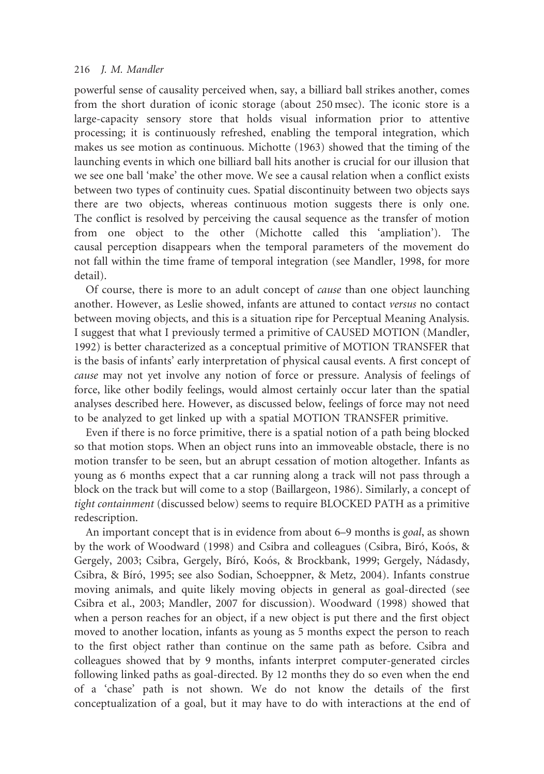powerful sense of causality perceived when, say, a billiard ball strikes another, comes from the short duration of iconic storage (about 250 msec). The iconic store is a large-capacity sensory store that holds visual information prior to attentive processing; it is continuously refreshed, enabling the temporal integration, which makes us see motion as continuous. Michotte (1963) showed that the timing of the launching events in which one billiard ball hits another is crucial for our illusion that we see one ball 'make' the other move. We see a causal relation when a conflict exists between two types of continuity cues. Spatial discontinuity between two objects says there are two objects, whereas continuous motion suggests there is only one. The conflict is resolved by perceiving the causal sequence as the transfer of motion from one object to the other (Michotte called this 'ampliation'). The causal perception disappears when the temporal parameters of the movement do not fall within the time frame of temporal integration (see Mandler, 1998, for more detail).

Of course, there is more to an adult concept of cause than one object launching another. However, as Leslie showed, infants are attuned to contact versus no contact between moving objects, and this is a situation ripe for Perceptual Meaning Analysis. I suggest that what I previously termed a primitive of CAUSED MOTION (Mandler, 1992) is better characterized as a conceptual primitive of MOTION TRANSFER that is the basis of infants' early interpretation of physical causal events. A first concept of cause may not yet involve any notion of force or pressure. Analysis of feelings of force, like other bodily feelings, would almost certainly occur later than the spatial analyses described here. However, as discussed below, feelings of force may not need to be analyzed to get linked up with a spatial MOTION TRANSFER primitive.

Even if there is no force primitive, there is a spatial notion of a path being blocked so that motion stops. When an object runs into an immoveable obstacle, there is no motion transfer to be seen, but an abrupt cessation of motion altogether. Infants as young as 6 months expect that a car running along a track will not pass through a block on the track but will come to a stop (Baillargeon, 1986). Similarly, a concept of tight containment (discussed below) seems to require BLOCKED PATH as a primitive redescription.

An important concept that is in evidence from about 6–9 months is goal, as shown by the work of Woodward (1998) and Csibra and colleagues (Csibra, Biró, Koós, & Gergely, 2003; Csibra, Gergely, Bíró, Koós, & Brockbank, 1999; Gergely, Nádasdy, Csibra, & Bíró, 1995; see also Sodian, Schoeppner, & Metz, 2004). Infants construe moving animals, and quite likely moving objects in general as goal-directed (see Csibra et al., 2003; Mandler, 2007 for discussion). Woodward (1998) showed that when a person reaches for an object, if a new object is put there and the first object moved to another location, infants as young as 5 months expect the person to reach to the first object rather than continue on the same path as before. Csibra and colleagues showed that by 9 months, infants interpret computer-generated circles following linked paths as goal-directed. By 12 months they do so even when the end of a 'chase' path is not shown. We do not know the details of the first conceptualization of a goal, but it may have to do with interactions at the end of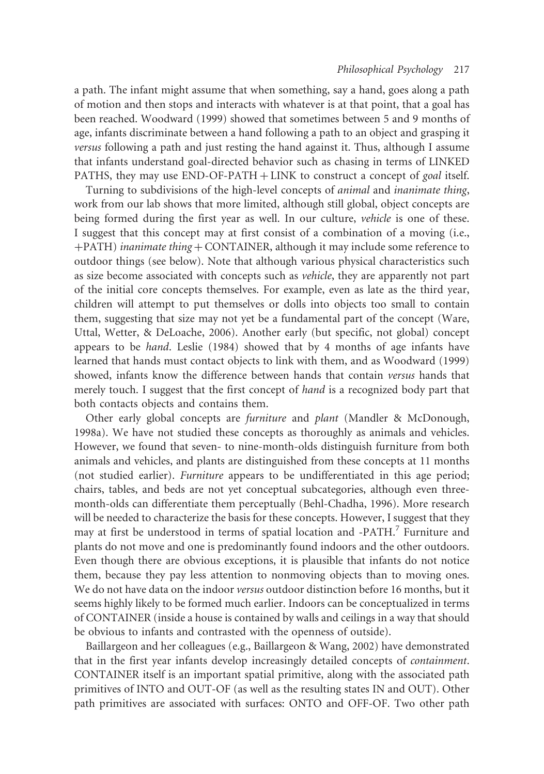# Philosophical Psychology 217

a path. The infant might assume that when something, say a hand, goes along a path of motion and then stops and interacts with whatever is at that point, that a goal has been reached. Woodward (1999) showed that sometimes between 5 and 9 months of age, infants discriminate between a hand following a path to an object and grasping it versus following a path and just resting the hand against it. Thus, although I assume that infants understand goal-directed behavior such as chasing in terms of LINKED PATHS, they may use END-OF-PATH + LINK to construct a concept of goal itself.

Turning to subdivisions of the high-level concepts of animal and inanimate thing, work from our lab shows that more limited, although still global, object concepts are being formed during the first year as well. In our culture, vehicle is one of these. I suggest that this concept may at first consist of a combination of a moving (i.e., +PATH) inanimate thing + CONTAINER, although it may include some reference to outdoor things (see below). Note that although various physical characteristics such as size become associated with concepts such as *vehicle*, they are apparently not part of the initial core concepts themselves. For example, even as late as the third year, children will attempt to put themselves or dolls into objects too small to contain them, suggesting that size may not yet be a fundamental part of the concept (Ware, Uttal, Wetter, & DeLoache, 2006). Another early (but specific, not global) concept appears to be hand. Leslie (1984) showed that by 4 months of age infants have learned that hands must contact objects to link with them, and as Woodward (1999) showed, infants know the difference between hands that contain *versus* hands that merely touch. I suggest that the first concept of hand is a recognized body part that both contacts objects and contains them.

Other early global concepts are furniture and plant (Mandler & McDonough, 1998a). We have not studied these concepts as thoroughly as animals and vehicles. However, we found that seven- to nine-month-olds distinguish furniture from both animals and vehicles, and plants are distinguished from these concepts at 11 months (not studied earlier). Furniture appears to be undifferentiated in this age period; chairs, tables, and beds are not yet conceptual subcategories, although even threemonth-olds can differentiate them perceptually (Behl-Chadha, 1996). More research will be needed to characterize the basis for these concepts. However, I suggest that they may at first be understood in terms of spatial location and -PATH.<sup>7</sup> Furniture and plants do not move and one is predominantly found indoors and the other outdoors. Even though there are obvious exceptions, it is plausible that infants do not notice them, because they pay less attention to nonmoving objects than to moving ones. We do not have data on the indoor versus outdoor distinction before 16 months, but it seems highly likely to be formed much earlier. Indoors can be conceptualized in terms of CONTAINER (inside a house is contained by walls and ceilings in a way that should be obvious to infants and contrasted with the openness of outside).

Baillargeon and her colleagues (e.g., Baillargeon & Wang, 2002) have demonstrated that in the first year infants develop increasingly detailed concepts of containment. CONTAINER itself is an important spatial primitive, along with the associated path primitives of INTO and OUT-OF (as well as the resulting states IN and OUT). Other path primitives are associated with surfaces: ONTO and OFF-OF. Two other path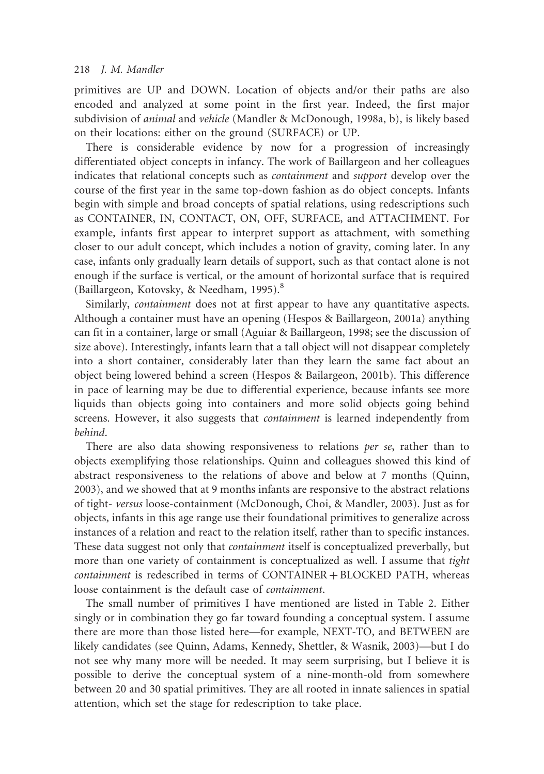primitives are UP and DOWN. Location of objects and/or their paths are also encoded and analyzed at some point in the first year. Indeed, the first major subdivision of *animal* and *vehicle* (Mandler & McDonough, 1998a, b), is likely based on their locations: either on the ground (SURFACE) or UP.

There is considerable evidence by now for a progression of increasingly differentiated object concepts in infancy. The work of Baillargeon and her colleagues indicates that relational concepts such as containment and support develop over the course of the first year in the same top-down fashion as do object concepts. Infants begin with simple and broad concepts of spatial relations, using redescriptions such as CONTAINER, IN, CONTACT, ON, OFF, SURFACE, and ATTACHMENT. For example, infants first appear to interpret support as attachment, with something closer to our adult concept, which includes a notion of gravity, coming later. In any case, infants only gradually learn details of support, such as that contact alone is not enough if the surface is vertical, or the amount of horizontal surface that is required (Baillargeon, Kotovsky, & Needham, 1995).<sup>8</sup>

Similarly, containment does not at first appear to have any quantitative aspects. Although a container must have an opening (Hespos & Baillargeon, 2001a) anything can fit in a container, large or small (Aguiar & Baillargeon, 1998; see the discussion of size above). Interestingly, infants learn that a tall object will not disappear completely into a short container, considerably later than they learn the same fact about an object being lowered behind a screen (Hespos & Bailargeon, 2001b). This difference in pace of learning may be due to differential experience, because infants see more liquids than objects going into containers and more solid objects going behind screens. However, it also suggests that *containment* is learned independently from behind.

There are also data showing responsiveness to relations *per se*, rather than to objects exemplifying those relationships. Quinn and colleagues showed this kind of abstract responsiveness to the relations of above and below at 7 months (Quinn, 2003), and we showed that at 9 months infants are responsive to the abstract relations of tight- versus loose-containment (McDonough, Choi, & Mandler, 2003). Just as for objects, infants in this age range use their foundational primitives to generalize across instances of a relation and react to the relation itself, rather than to specific instances. These data suggest not only that *containment* itself is conceptualized preverbally, but more than one variety of containment is conceptualized as well. I assume that tight containment is redescribed in terms of CONTAINER + BLOCKED PATH, whereas loose containment is the default case of containment.

The small number of primitives I have mentioned are listed in Table 2. Either singly or in combination they go far toward founding a conceptual system. I assume there are more than those listed here—for example, NEXT-TO, and BETWEEN are likely candidates (see Quinn, Adams, Kennedy, Shettler, & Wasnik, 2003)—but I do not see why many more will be needed. It may seem surprising, but I believe it is possible to derive the conceptual system of a nine-month-old from somewhere between 20 and 30 spatial primitives. They are all rooted in innate saliences in spatial attention, which set the stage for redescription to take place.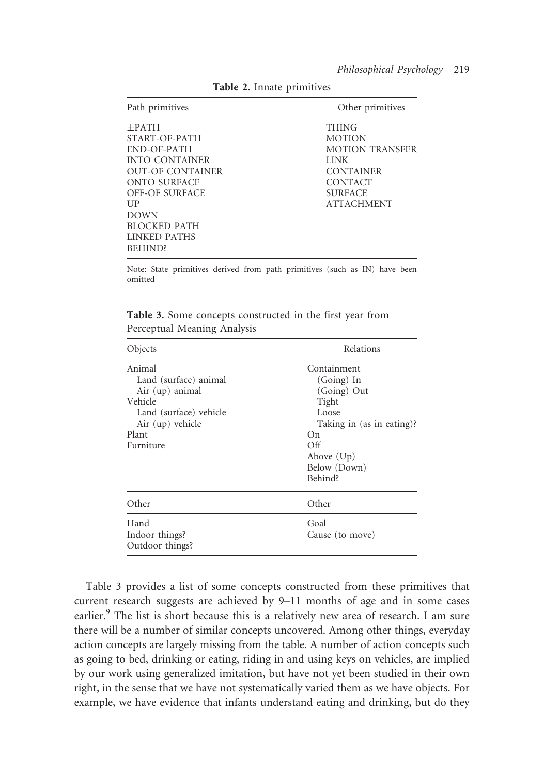| Path primitives                                                                                                                                                                                                          | Other primitives                                                                                                                             |
|--------------------------------------------------------------------------------------------------------------------------------------------------------------------------------------------------------------------------|----------------------------------------------------------------------------------------------------------------------------------------------|
| $+$ PATH<br>START-OF-PATH<br>END-OF-PATH<br><b>INTO CONTAINER</b><br><b>OUT-OF CONTAINER</b><br>ONTO SURFACE<br>OFF-OF SURFACE<br>$_{\text{UP}}$<br><b>DOWN</b><br><b>BLOCKED PATH</b><br>LINKED PATHS<br><b>BEHIND?</b> | <b>THING</b><br><b>MOTION</b><br><b>MOTION TRANSFER</b><br>LINK<br><b>CONTAINER</b><br><b>CONTACT</b><br><b>SURFACE</b><br><b>ATTACHMENT</b> |
|                                                                                                                                                                                                                          |                                                                                                                                              |

Table 2. Innate primitives

Note: State primitives derived from path primitives (such as IN) have been omitted

Table 3. Some concepts constructed in the first year from Perceptual Meaning Analysis

| Objects                | Relations                 |  |  |
|------------------------|---------------------------|--|--|
| Animal                 | Containment               |  |  |
| Land (surface) animal  | $(Going)$ In              |  |  |
| Air (up) animal        | (Going) Out               |  |  |
| Vehicle                | Tight                     |  |  |
| Land (surface) vehicle | Loose                     |  |  |
| Air (up) vehicle       | Taking in (as in eating)? |  |  |
| Plant                  | On                        |  |  |
| Furniture              | Off                       |  |  |
|                        | Above $(Up)$              |  |  |
|                        | Below (Down)              |  |  |
|                        | Behind?                   |  |  |
| Other                  | Other                     |  |  |
| Hand                   | Goal                      |  |  |
| Indoor things?         | Cause (to move)           |  |  |
| Outdoor things?        |                           |  |  |

Table 3 provides a list of some concepts constructed from these primitives that current research suggests are achieved by 9–11 months of age and in some cases earlier.<sup>9</sup> The list is short because this is a relatively new area of research. I am sure there will be a number of similar concepts uncovered. Among other things, everyday action concepts are largely missing from the table. A number of action concepts such as going to bed, drinking or eating, riding in and using keys on vehicles, are implied by our work using generalized imitation, but have not yet been studied in their own right, in the sense that we have not systematically varied them as we have objects. For example, we have evidence that infants understand eating and drinking, but do they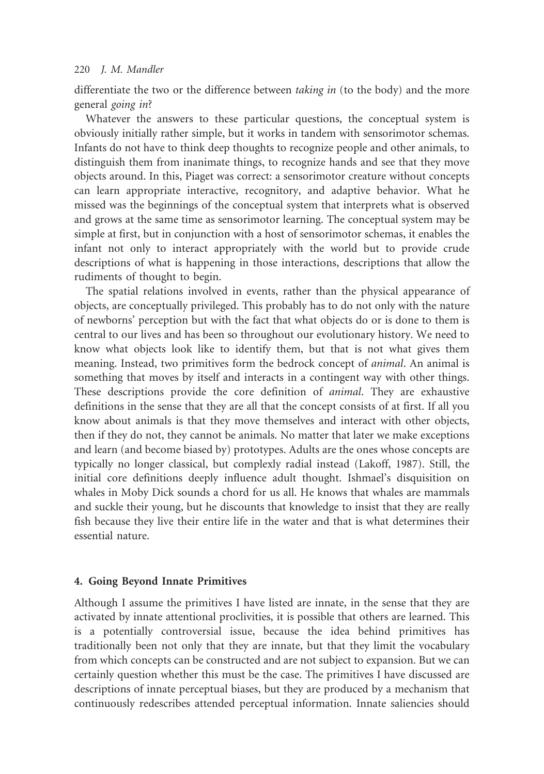differentiate the two or the difference between taking in (to the body) and the more general going in?

Whatever the answers to these particular questions, the conceptual system is obviously initially rather simple, but it works in tandem with sensorimotor schemas. Infants do not have to think deep thoughts to recognize people and other animals, to distinguish them from inanimate things, to recognize hands and see that they move objects around. In this, Piaget was correct: a sensorimotor creature without concepts can learn appropriate interactive, recognitory, and adaptive behavior. What he missed was the beginnings of the conceptual system that interprets what is observed and grows at the same time as sensorimotor learning. The conceptual system may be simple at first, but in conjunction with a host of sensorimotor schemas, it enables the infant not only to interact appropriately with the world but to provide crude descriptions of what is happening in those interactions, descriptions that allow the rudiments of thought to begin.

The spatial relations involved in events, rather than the physical appearance of objects, are conceptually privileged. This probably has to do not only with the nature of newborns' perception but with the fact that what objects do or is done to them is central to our lives and has been so throughout our evolutionary history. We need to know what objects look like to identify them, but that is not what gives them meaning. Instead, two primitives form the bedrock concept of animal. An animal is something that moves by itself and interacts in a contingent way with other things. These descriptions provide the core definition of animal. They are exhaustive definitions in the sense that they are all that the concept consists of at first. If all you know about animals is that they move themselves and interact with other objects, then if they do not, they cannot be animals. No matter that later we make exceptions and learn (and become biased by) prototypes. Adults are the ones whose concepts are typically no longer classical, but complexly radial instead (Lakoff, 1987). Still, the initial core definitions deeply influence adult thought. Ishmael's disquisition on whales in Moby Dick sounds a chord for us all. He knows that whales are mammals and suckle their young, but he discounts that knowledge to insist that they are really fish because they live their entire life in the water and that is what determines their essential nature.

### 4. Going Beyond Innate Primitives

Although I assume the primitives I have listed are innate, in the sense that they are activated by innate attentional proclivities, it is possible that others are learned. This is a potentially controversial issue, because the idea behind primitives has traditionally been not only that they are innate, but that they limit the vocabulary from which concepts can be constructed and are not subject to expansion. But we can certainly question whether this must be the case. The primitives I have discussed are descriptions of innate perceptual biases, but they are produced by a mechanism that continuously redescribes attended perceptual information. Innate saliencies should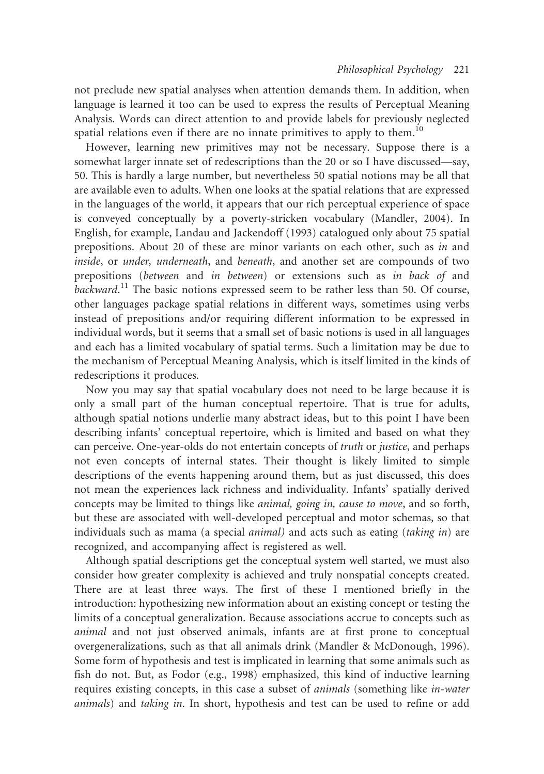not preclude new spatial analyses when attention demands them. In addition, when language is learned it too can be used to express the results of Perceptual Meaning Analysis. Words can direct attention to and provide labels for previously neglected spatial relations even if there are no innate primitives to apply to them.<sup>10</sup>

However, learning new primitives may not be necessary. Suppose there is a somewhat larger innate set of redescriptions than the 20 or so I have discussed—say, 50. This is hardly a large number, but nevertheless 50 spatial notions may be all that are available even to adults. When one looks at the spatial relations that are expressed in the languages of the world, it appears that our rich perceptual experience of space is conveyed conceptually by a poverty-stricken vocabulary (Mandler, 2004). In English, for example, Landau and Jackendoff (1993) catalogued only about 75 spatial prepositions. About 20 of these are minor variants on each other, such as in and inside, or under, underneath, and beneath, and another set are compounds of two prepositions (between and in between) or extensions such as in back of and backward.<sup>11</sup> The basic notions expressed seem to be rather less than 50. Of course, other languages package spatial relations in different ways, sometimes using verbs instead of prepositions and/or requiring different information to be expressed in individual words, but it seems that a small set of basic notions is used in all languages and each has a limited vocabulary of spatial terms. Such a limitation may be due to the mechanism of Perceptual Meaning Analysis, which is itself limited in the kinds of redescriptions it produces.

Now you may say that spatial vocabulary does not need to be large because it is only a small part of the human conceptual repertoire. That is true for adults, although spatial notions underlie many abstract ideas, but to this point I have been describing infants' conceptual repertoire, which is limited and based on what they can perceive. One-year-olds do not entertain concepts of *truth* or *justice*, and perhaps not even concepts of internal states. Their thought is likely limited to simple descriptions of the events happening around them, but as just discussed, this does not mean the experiences lack richness and individuality. Infants' spatially derived concepts may be limited to things like animal, going in, cause to move, and so forth, but these are associated with well-developed perceptual and motor schemas, so that individuals such as mama (a special *animal*) and acts such as eating (taking in) are recognized, and accompanying affect is registered as well.

Although spatial descriptions get the conceptual system well started, we must also consider how greater complexity is achieved and truly nonspatial concepts created. There are at least three ways. The first of these I mentioned briefly in the introduction: hypothesizing new information about an existing concept or testing the limits of a conceptual generalization. Because associations accrue to concepts such as animal and not just observed animals, infants are at first prone to conceptual overgeneralizations, such as that all animals drink (Mandler & McDonough, 1996). Some form of hypothesis and test is implicated in learning that some animals such as fish do not. But, as Fodor (e.g., 1998) emphasized, this kind of inductive learning requires existing concepts, in this case a subset of *animals* (something like *in-water* animals) and taking in. In short, hypothesis and test can be used to refine or add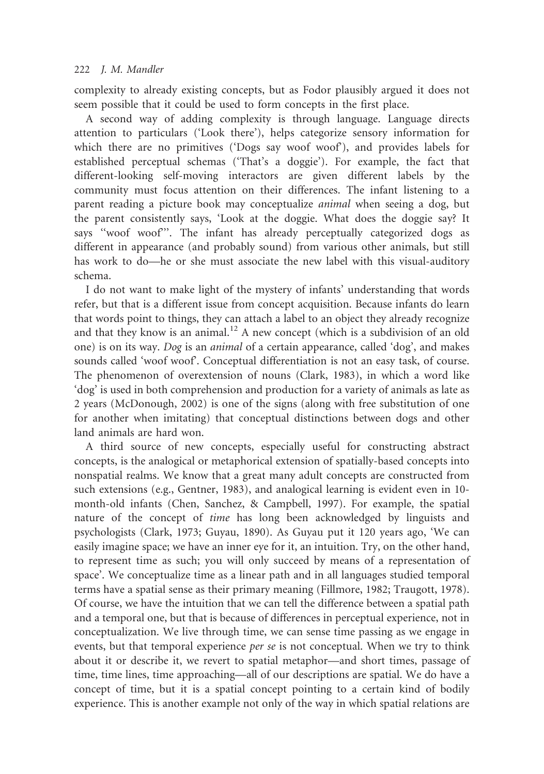complexity to already existing concepts, but as Fodor plausibly argued it does not seem possible that it could be used to form concepts in the first place.

A second way of adding complexity is through language. Language directs attention to particulars ('Look there'), helps categorize sensory information for which there are no primitives ('Dogs say woof woof'), and provides labels for established perceptual schemas ('That's a doggie'). For example, the fact that different-looking self-moving interactors are given different labels by the community must focus attention on their differences. The infant listening to a parent reading a picture book may conceptualize animal when seeing a dog, but the parent consistently says, 'Look at the doggie. What does the doggie say? It says "woof woof". The infant has already perceptually categorized dogs as different in appearance (and probably sound) from various other animals, but still has work to do—he or she must associate the new label with this visual-auditory schema.

I do not want to make light of the mystery of infants' understanding that words refer, but that is a different issue from concept acquisition. Because infants do learn that words point to things, they can attach a label to an object they already recognize and that they know is an animal.<sup>12</sup> A new concept (which is a subdivision of an old one) is on its way. Dog is an animal of a certain appearance, called 'dog', and makes sounds called 'woof woof'. Conceptual differentiation is not an easy task, of course. The phenomenon of overextension of nouns (Clark, 1983), in which a word like 'dog' is used in both comprehension and production for a variety of animals as late as 2 years (McDonough, 2002) is one of the signs (along with free substitution of one for another when imitating) that conceptual distinctions between dogs and other land animals are hard won.

A third source of new concepts, especially useful for constructing abstract concepts, is the analogical or metaphorical extension of spatially-based concepts into nonspatial realms. We know that a great many adult concepts are constructed from such extensions (e.g., Gentner, 1983), and analogical learning is evident even in 10 month-old infants (Chen, Sanchez, & Campbell, 1997). For example, the spatial nature of the concept of time has long been acknowledged by linguists and psychologists (Clark, 1973; Guyau, 1890). As Guyau put it 120 years ago, 'We can easily imagine space; we have an inner eye for it, an intuition. Try, on the other hand, to represent time as such; you will only succeed by means of a representation of space'. We conceptualize time as a linear path and in all languages studied temporal terms have a spatial sense as their primary meaning (Fillmore, 1982; Traugott, 1978). Of course, we have the intuition that we can tell the difference between a spatial path and a temporal one, but that is because of differences in perceptual experience, not in conceptualization. We live through time, we can sense time passing as we engage in events, but that temporal experience per se is not conceptual. When we try to think about it or describe it, we revert to spatial metaphor—and short times, passage of time, time lines, time approaching—all of our descriptions are spatial. We do have a concept of time, but it is a spatial concept pointing to a certain kind of bodily experience. This is another example not only of the way in which spatial relations are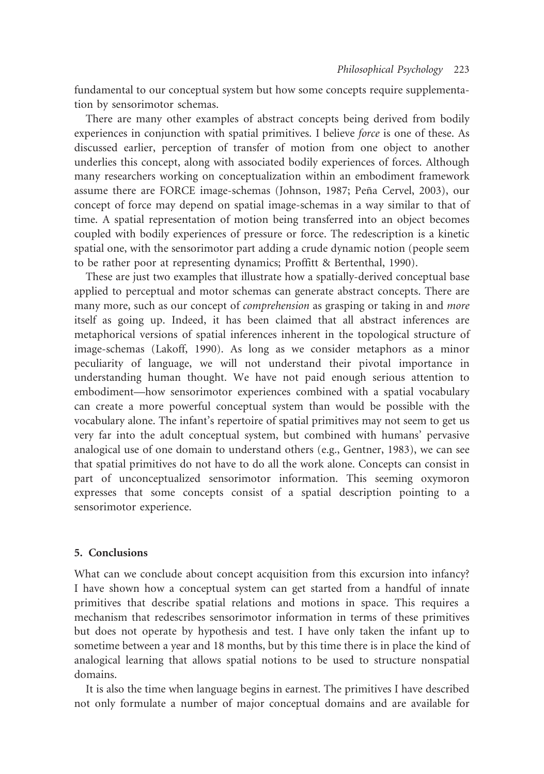fundamental to our conceptual system but how some concepts require supplementation by sensorimotor schemas.

There are many other examples of abstract concepts being derived from bodily experiences in conjunction with spatial primitives. I believe force is one of these. As discussed earlier, perception of transfer of motion from one object to another underlies this concept, along with associated bodily experiences of forces. Although many researchers working on conceptualization within an embodiment framework assume there are FORCE image-schemas (Johnson, 1987; Peña Cervel, 2003), our concept of force may depend on spatial image-schemas in a way similar to that of time. A spatial representation of motion being transferred into an object becomes coupled with bodily experiences of pressure or force. The redescription is a kinetic spatial one, with the sensorimotor part adding a crude dynamic notion (people seem to be rather poor at representing dynamics; Proffitt & Bertenthal, 1990).

These are just two examples that illustrate how a spatially-derived conceptual base applied to perceptual and motor schemas can generate abstract concepts. There are many more, such as our concept of *comprehension* as grasping or taking in and *more* itself as going up. Indeed, it has been claimed that all abstract inferences are metaphorical versions of spatial inferences inherent in the topological structure of image-schemas (Lakoff, 1990). As long as we consider metaphors as a minor peculiarity of language, we will not understand their pivotal importance in understanding human thought. We have not paid enough serious attention to embodiment—how sensorimotor experiences combined with a spatial vocabulary can create a more powerful conceptual system than would be possible with the vocabulary alone. The infant's repertoire of spatial primitives may not seem to get us very far into the adult conceptual system, but combined with humans' pervasive analogical use of one domain to understand others (e.g., Gentner, 1983), we can see that spatial primitives do not have to do all the work alone. Concepts can consist in part of unconceptualized sensorimotor information. This seeming oxymoron expresses that some concepts consist of a spatial description pointing to a sensorimotor experience.

# 5. Conclusions

What can we conclude about concept acquisition from this excursion into infancy? I have shown how a conceptual system can get started from a handful of innate primitives that describe spatial relations and motions in space. This requires a mechanism that redescribes sensorimotor information in terms of these primitives but does not operate by hypothesis and test. I have only taken the infant up to sometime between a year and 18 months, but by this time there is in place the kind of analogical learning that allows spatial notions to be used to structure nonspatial domains.

It is also the time when language begins in earnest. The primitives I have described not only formulate a number of major conceptual domains and are available for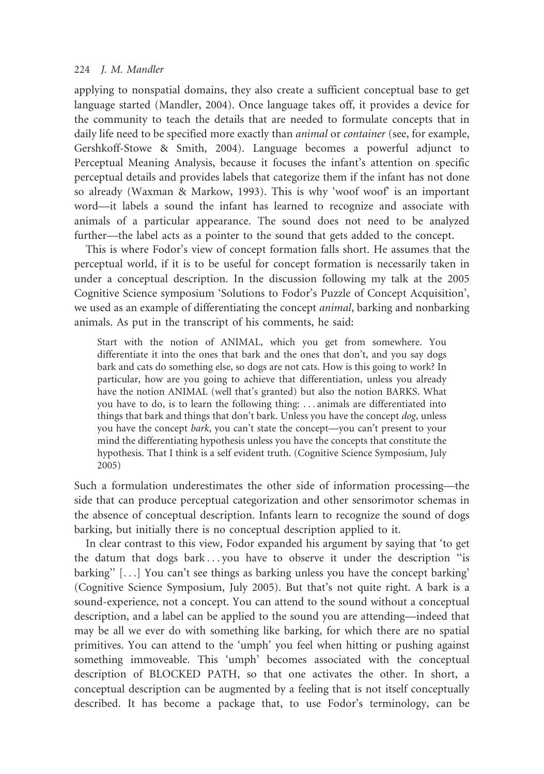applying to nonspatial domains, they also create a sufficient conceptual base to get language started (Mandler, 2004). Once language takes off, it provides a device for the community to teach the details that are needed to formulate concepts that in daily life need to be specified more exactly than *animal* or *container* (see, for example, Gershkoff-Stowe & Smith, 2004). Language becomes a powerful adjunct to Perceptual Meaning Analysis, because it focuses the infant's attention on specific perceptual details and provides labels that categorize them if the infant has not done so already (Waxman & Markow, 1993). This is why 'woof woof' is an important word—it labels a sound the infant has learned to recognize and associate with animals of a particular appearance. The sound does not need to be analyzed further—the label acts as a pointer to the sound that gets added to the concept.

This is where Fodor's view of concept formation falls short. He assumes that the perceptual world, if it is to be useful for concept formation is necessarily taken in under a conceptual description. In the discussion following my talk at the 2005 Cognitive Science symposium 'Solutions to Fodor's Puzzle of Concept Acquisition', we used as an example of differentiating the concept *animal*, barking and nonbarking animals. As put in the transcript of his comments, he said:

Start with the notion of ANIMAL, which you get from somewhere. You differentiate it into the ones that bark and the ones that don't, and you say dogs bark and cats do something else, so dogs are not cats. How is this going to work? In particular, how are you going to achieve that differentiation, unless you already have the notion ANIMAL (well that's granted) but also the notion BARKS. What you have to do, is to learn the following thing: ... animals are differentiated into things that bark and things that don't bark. Unless you have the concept dog, unless you have the concept bark, you can't state the concept—you can't present to your mind the differentiating hypothesis unless you have the concepts that constitute the hypothesis. That I think is a self evident truth. (Cognitive Science Symposium, July 2005)

Such a formulation underestimates the other side of information processing—the side that can produce perceptual categorization and other sensorimotor schemas in the absence of conceptual description. Infants learn to recognize the sound of dogs barking, but initially there is no conceptual description applied to it.

In clear contrast to this view, Fodor expanded his argument by saying that 'to get the datum that dogs bark ... you have to observe it under the description ''is barking'' [...] You can't see things as barking unless you have the concept barking' (Cognitive Science Symposium, July 2005). But that's not quite right. A bark is a sound-experience, not a concept. You can attend to the sound without a conceptual description, and a label can be applied to the sound you are attending—indeed that may be all we ever do with something like barking, for which there are no spatial primitives. You can attend to the 'umph' you feel when hitting or pushing against something immoveable. This 'umph' becomes associated with the conceptual description of BLOCKED PATH, so that one activates the other. In short, a conceptual description can be augmented by a feeling that is not itself conceptually described. It has become a package that, to use Fodor's terminology, can be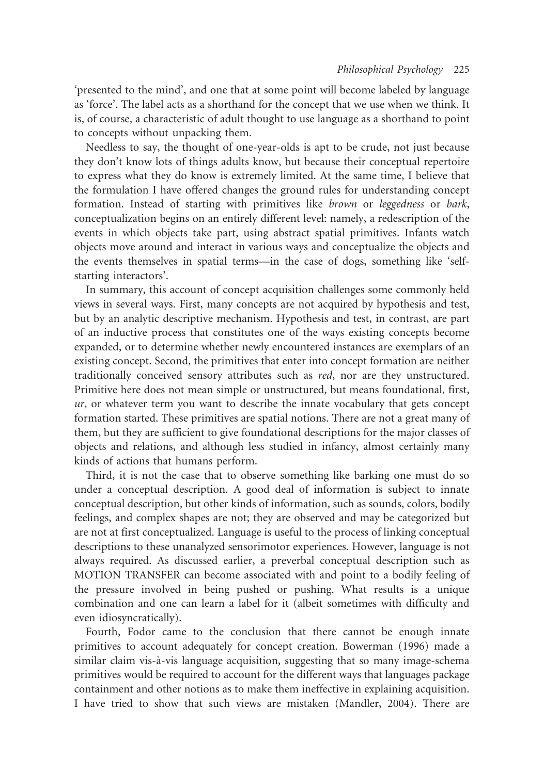'presented to the mind', and one that at some point will become labeled by language as 'force'. The label acts as a shorthand for the concept that we use when we think. It is, of course, a characteristic of adult thought to use language as a shorthand to point to concepts without unpacking them.

Needless to say, the thought of one-year-olds is apt to be crude, not just because they don't know lots of things adults know, but because their conceptual repertoire to express what they do know is extremely limited. At the same time, I believe that the formulation I have offered changes the ground rules for understanding concept formation. Instead of starting with primitives like brown or leggedness or bark, conceptualization begins on an entirely different level: namely, a redescription of the events in which objects take part, using abstract spatial primitives. Infants watch objects move around and interact in various ways and conceptualize the objects and the events themselves in spatial terms—in the case of dogs, something like 'selfstarting interactors'.

In summary, this account of concept acquisition challenges some commonly held views in several ways. First, many concepts are not acquired by hypothesis and test, but by an analytic descriptive mechanism. Hypothesis and test, in contrast, are part of an inductive process that constitutes one of the ways existing concepts become expanded, or to determine whether newly encountered instances are exemplars of an existing concept. Second, the primitives that enter into concept formation are neither traditionally conceived sensory attributes such as red, nor are they unstructured. Primitive here does not mean simple or unstructured, but means foundational, first,  $ur$ , or whatever term you want to describe the innate vocabulary that gets concept formation started. These primitives are spatial notions. There are not a great many of them, but they are sufficient to give foundational descriptions for the major classes of objects and relations, and although less studied in infancy, almost certainly many kinds of actions that humans perform.

Third, it is not the case that to observe something like barking one must do so under a conceptual description. A good deal of information is subject to innate conceptual description, but other kinds of information, such as sounds, colors, bodily feelings, and complex shapes are not; they are observed and may be categorized but are not at first conceptualized. Language is useful to the process of linking conceptual descriptions to these unanalyzed sensorimotor experiences. However, language is not always required. As discussed earlier, a preverbal conceptual description such as MOTION TRANSFER can become associated with and point to a bodily feeling of the pressure involved in being pushed or pushing. What results is a unique combination and one can learn a label for it (albeit sometimes with difficulty and even idiosyncratically).

Fourth, Fodor came to the conclusion that there cannot be enough innate primitives to account adequately for concept creation. Bowerman (1996) made a similar claim vis-à-vis language acquisition, suggesting that so many image-schema primitives would be required to account for the different ways that languages package containment and other notions as to make them ineffective in explaining acquisition. I have tried to show that such views are mistaken (Mandler, 2004). There are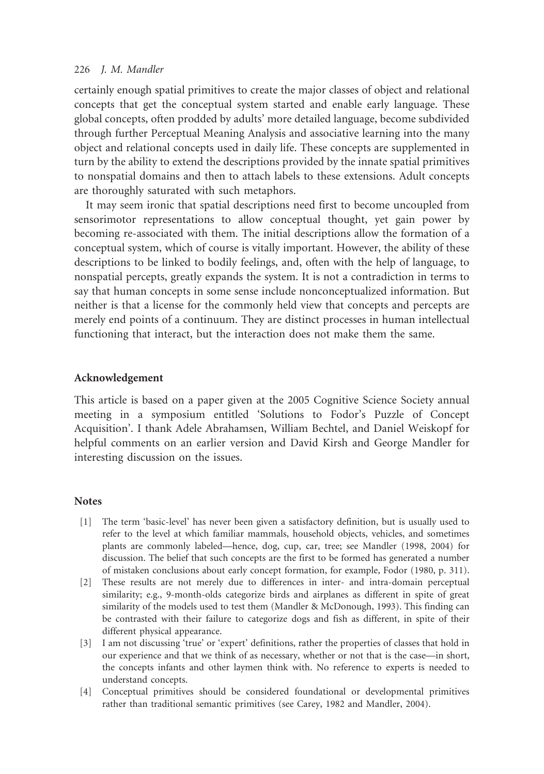certainly enough spatial primitives to create the major classes of object and relational concepts that get the conceptual system started and enable early language. These global concepts, often prodded by adults' more detailed language, become subdivided through further Perceptual Meaning Analysis and associative learning into the many object and relational concepts used in daily life. These concepts are supplemented in turn by the ability to extend the descriptions provided by the innate spatial primitives to nonspatial domains and then to attach labels to these extensions. Adult concepts are thoroughly saturated with such metaphors.

It may seem ironic that spatial descriptions need first to become uncoupled from sensorimotor representations to allow conceptual thought, yet gain power by becoming re-associated with them. The initial descriptions allow the formation of a conceptual system, which of course is vitally important. However, the ability of these descriptions to be linked to bodily feelings, and, often with the help of language, to nonspatial percepts, greatly expands the system. It is not a contradiction in terms to say that human concepts in some sense include nonconceptualized information. But neither is that a license for the commonly held view that concepts and percepts are merely end points of a continuum. They are distinct processes in human intellectual functioning that interact, but the interaction does not make them the same.

# Acknowledgement

This article is based on a paper given at the 2005 Cognitive Science Society annual meeting in a symposium entitled 'Solutions to Fodor's Puzzle of Concept Acquisition'. I thank Adele Abrahamsen, William Bechtel, and Daniel Weiskopf for helpful comments on an earlier version and David Kirsh and George Mandler for interesting discussion on the issues.

# **Notes**

- [1] The term 'basic-level' has never been given a satisfactory definition, but is usually used to refer to the level at which familiar mammals, household objects, vehicles, and sometimes plants are commonly labeled—hence, dog, cup, car, tree; see Mandler (1998, 2004) for discussion. The belief that such concepts are the first to be formed has generated a number of mistaken conclusions about early concept formation, for example, Fodor (1980, p. 311).
- [2] These results are not merely due to differences in inter- and intra-domain perceptual similarity; e.g., 9-month-olds categorize birds and airplanes as different in spite of great similarity of the models used to test them (Mandler & McDonough, 1993). This finding can be contrasted with their failure to categorize dogs and fish as different, in spite of their different physical appearance.
- [3] I am not discussing 'true' or 'expert' definitions, rather the properties of classes that hold in our experience and that we think of as necessary, whether or not that is the case—in short, the concepts infants and other laymen think with. No reference to experts is needed to understand concepts.
- [4] Conceptual primitives should be considered foundational or developmental primitives rather than traditional semantic primitives (see Carey, 1982 and Mandler, 2004).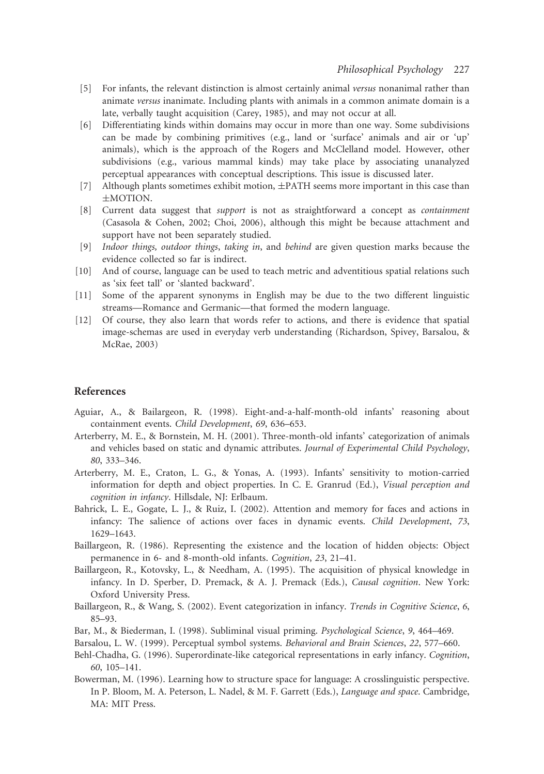- [5] For infants, the relevant distinction is almost certainly animal versus nonanimal rather than animate versus inanimate. Including plants with animals in a common animate domain is a late, verbally taught acquisition (Carey, 1985), and may not occur at all.
- [6] Differentiating kinds within domains may occur in more than one way. Some subdivisions can be made by combining primitives (e.g., land or 'surface' animals and air or 'up' animals), which is the approach of the Rogers and McClelland model. However, other subdivisions (e.g., various mammal kinds) may take place by associating unanalyzed perceptual appearances with conceptual descriptions. This issue is discussed later.
- [7] Although plants sometimes exhibit motion,  $\pm$ PATH seems more important in this case than  $\pm$ MOTION.
- [8] Current data suggest that *support* is not as straightforward a concept as *containment* (Casasola & Cohen, 2002; Choi, 2006), although this might be because attachment and support have not been separately studied.
- [9] Indoor things, outdoor things, taking in, and behind are given question marks because the evidence collected so far is indirect.
- [10] And of course, language can be used to teach metric and adventitious spatial relations such as 'six feet tall' or 'slanted backward'.
- [11] Some of the apparent synonyms in English may be due to the two different linguistic streams—Romance and Germanic—that formed the modern language.
- [12] Of course, they also learn that words refer to actions, and there is evidence that spatial image-schemas are used in everyday verb understanding (Richardson, Spivey, Barsalou, & McRae, 2003)

#### References

- Aguiar, A., & Bailargeon, R. (1998). Eight-and-a-half-month-old infants' reasoning about containment events. Child Development, 69, 636–653.
- Arterberry, M. E., & Bornstein, M. H. (2001). Three-month-old infants' categorization of animals and vehicles based on static and dynamic attributes. Journal of Experimental Child Psychology, 80, 333–346.
- Arterberry, M. E., Craton, L. G., & Yonas, A. (1993). Infants' sensitivity to motion-carried information for depth and object properties. In C. E. Granrud (Ed.), Visual perception and cognition in infancy. Hillsdale, NJ: Erlbaum.
- Bahrick, L. E., Gogate, L. J., & Ruiz, I. (2002). Attention and memory for faces and actions in infancy: The salience of actions over faces in dynamic events. Child Development, 73, 1629–1643.
- Baillargeon, R. (1986). Representing the existence and the location of hidden objects: Object permanence in 6- and 8-month-old infants. Cognition, 23, 21–41.
- Baillargeon, R., Kotovsky, L., & Needham, A. (1995). The acquisition of physical knowledge in infancy. In D. Sperber, D. Premack, & A. J. Premack (Eds.), Causal cognition. New York: Oxford University Press.
- Baillargeon, R., & Wang, S. (2002). Event categorization in infancy. Trends in Cognitive Science, 6, 85–93.
- Bar, M., & Biederman, I. (1998). Subliminal visual priming. Psychological Science, 9, 464–469.
- Barsalou, L. W. (1999). Perceptual symbol systems. Behavioral and Brain Sciences, 22, 577–660.
- Behl-Chadha, G. (1996). Superordinate-like categorical representations in early infancy. Cognition, 60, 105–141.
- Bowerman, M. (1996). Learning how to structure space for language: A crosslinguistic perspective. In P. Bloom, M. A. Peterson, L. Nadel, & M. F. Garrett (Eds.), Language and space. Cambridge, MA: MIT Press.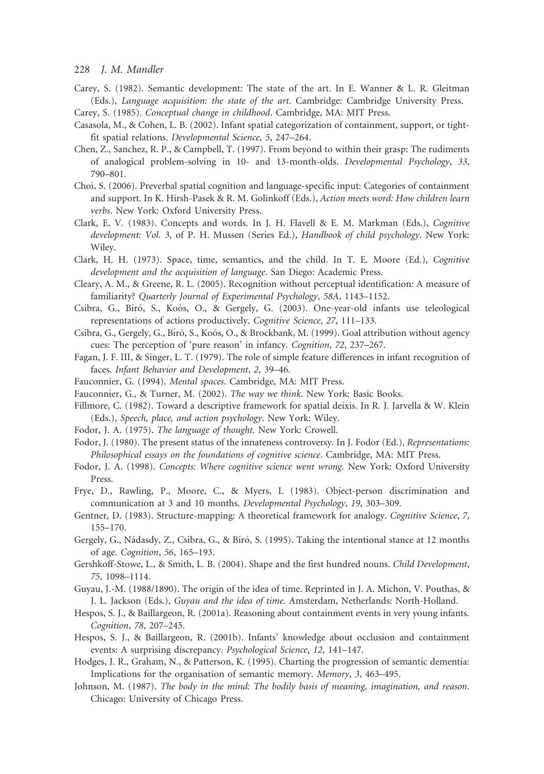Carey, S. (1982). Semantic development: The state of the art. In E. Wanner & L. R. Gleitman (Eds.), Language acquisition: the state of the art. Cambridge: Cambridge University Press.

Carey, S. (1985). Conceptual change in childhood. Cambridge, MA: MIT Press.

- Casasola, M., & Cohen, L. B. (2002). Infant spatial categorization of containment, support, or tightfit spatial relations. Developmental Science, 5, 247–264.
- Chen, Z., Sanchez, R. P., & Campbell, T. (1997). From beyond to within their grasp: The rudiments of analogical problem-solving in 10- and 13-month-olds. Developmental Psychology, 33, 790–801.
- Choi, S. (2006). Preverbal spatial cognition and language-specific input: Categories of containment and support. In K. Hirsh-Pasek & R. M. Golinkoff (Eds.), Action meets word: How children learn verbs. New York: Oxford University Press.
- Clark, E. V. (1983). Concepts and words. In J. H. Flavell & E. M. Markman (Eds.), Cognitive development: Vol. 3, of P. H. Mussen (Series Ed.), Handbook of child psychology. New York: Wiley.
- Clark, H. H. (1973). Space, time, semantics, and the child. In T. E. Moore (Ed.), Cognitive development and the acquisition of language. San Diego: Academic Press.
- Cleary, A. M., & Greene, R. L. (2005). Recognition without perceptual identification: A measure of familiarity? Quarterly Journal of Experimental Psychology, 58A, 1143–1152.
- Csibra, G., Bíró, S., Koós, O., & Gergely, G. (2003). One-year-old infants use teleological representations of actions productively. Cognitive Science, 27, 111–133.
- Csibra, G., Gergely, G., Bíró, S., Koós, O., & Brockbank, M. (1999). Goal attribution without agency cues: The perception of 'pure reason' in infancy. Cognition, 72, 237–267.
- Fagan, J. F. III, & Singer, L. T. (1979). The role of simple feature differences in infant recognition of faces. Infant Behavior and Development, 2, 39–46.
- Fauconnier, G. (1994). Mental spaces. Cambridge, MA: MIT Press.
- Fauconnier, G., & Turner, M. (2002). The way we think. New York: Basic Books.
- Fillmore, C. (1982). Toward a descriptive framework for spatial deixis. In R. J. Jarvella & W. Klein (Eds.), Speech, place, and action psychology. New York: Wiley.
- Fodor, J. A. (1975). The language of thought. New York: Crowell.
- Fodor, J. (1980). The present status of the innateness controversy. In J. Fodor (Ed.), Representations: Philosophical essays on the foundations of cognitive science. Cambridge, MA: MIT Press.
- Fodor, J. A. (1998). Concepts: Where cognitive science went wrong. New York: Oxford University Press.
- Frye, D., Rawling, P., Moore, C., & Myers, I. (1983). Object-person discrimination and communication at 3 and 10 months. Developmental Psychology, 19, 303–309.
- Gentner, D. (1983). Structure-mapping: A theoretical framework for analogy. Cognitive Science, 7, 155–170.
- Gergely, G., Nádasdy, Z., Csibra, G., & Bíró, S. (1995). Taking the intentional stance at 12 months of age. Cognition, 56, 165–193.
- Gershkoff-Stowe, L., & Smith, L. B. (2004). Shape and the first hundred nouns. Child Development, 75, 1098–1114.
- Guyau, J.-M. (1988/1890). The origin of the idea of time. Reprinted in J. A. Michon, V. Pouthas, & J. L. Jackson (Eds.), Guyau and the idea of time. Amsterdam, Netherlands: North-Holland.
- Hespos, S. J., & Baillargeon, R. (2001a). Reasoning about containment events in very young infants. Cognition, 78, 207–245.
- Hespos, S. J., & Baillargeon, R. (2001b). Infants' knowledge about occlusion and containment events: A surprising discrepancy. Psychological Science, 12, 141–147.
- Hodges, J. R., Graham, N., & Patterson, K. (1995). Charting the progression of semantic dementia: Implications for the organisation of semantic memory. Memory, 3, 463–495.
- Johnson, M. (1987). The body in the mind: The bodily basis of meaning, imagination, and reason. Chicago: University of Chicago Press.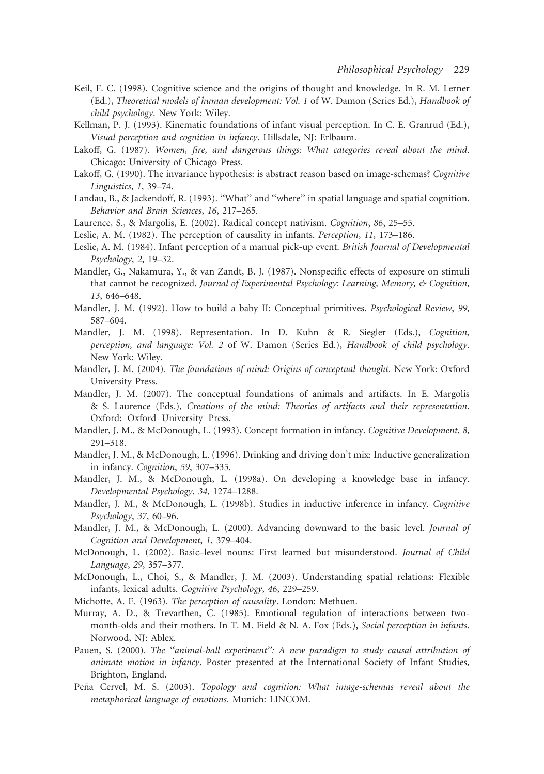- Keil, F. C. (1998). Cognitive science and the origins of thought and knowledge. In R. M. Lerner (Ed.), Theoretical models of human development: Vol. 1 of W. Damon (Series Ed.), Handbook of child psychology. New York: Wiley.
- Kellman, P. J. (1993). Kinematic foundations of infant visual perception. In C. E. Granrud (Ed.), Visual perception and cognition in infancy. Hillsdale, NJ: Erlbaum.
- Lakoff, G. (1987). Women, fire, and dangerous things: What categories reveal about the mind. Chicago: University of Chicago Press.
- Lakoff, G. (1990). The invariance hypothesis: is abstract reason based on image-schemas? Cognitive Linguistics, 1, 39–74.
- Landau, B., & Jackendoff, R. (1993). ''What'' and ''where'' in spatial language and spatial cognition. Behavior and Brain Sciences, 16, 217–265.
- Laurence, S., & Margolis, E. (2002). Radical concept nativism. Cognition, 86, 25–55.
- Leslie, A. M. (1982). The perception of causality in infants. Perception, 11, 173–186.
- Leslie, A. M. (1984). Infant perception of a manual pick-up event. British Journal of Developmental Psychology, 2, 19–32.
- Mandler, G., Nakamura, Y., & van Zandt, B. J. (1987). Nonspecific effects of exposure on stimuli that cannot be recognized. Journal of Experimental Psychology: Learning, Memory, & Cognition, 13, 646–648.
- Mandler, J. M. (1992). How to build a baby II: Conceptual primitives. Psychological Review, 99, 587–604.
- Mandler, J. M. (1998). Representation. In D. Kuhn & R. Siegler (Eds.), Cognition, perception, and language: Vol. 2 of W. Damon (Series Ed.), Handbook of child psychology. New York: Wiley.
- Mandler, J. M. (2004). The foundations of mind: Origins of conceptual thought. New York: Oxford University Press.
- Mandler, J. M. (2007). The conceptual foundations of animals and artifacts. In E. Margolis & S. Laurence (Eds.), Creations of the mind: Theories of artifacts and their representation. Oxford: Oxford University Press.
- Mandler, J. M., & McDonough, L. (1993). Concept formation in infancy. Cognitive Development, 8, 291–318.
- Mandler, J. M., & McDonough, L. (1996). Drinking and driving don't mix: Inductive generalization in infancy. Cognition, 59, 307–335.
- Mandler, J. M., & McDonough, L. (1998a). On developing a knowledge base in infancy. Developmental Psychology, 34, 1274–1288.
- Mandler, J. M., & McDonough, L. (1998b). Studies in inductive inference in infancy. Cognitive Psychology, 37, 60–96.
- Mandler, J. M., & McDonough, L. (2000). Advancing downward to the basic level. Journal of Cognition and Development, 1, 379–404.
- McDonough, L. (2002). Basic–level nouns: First learned but misunderstood. Journal of Child Language, 29, 357–377.
- McDonough, L., Choi, S., & Mandler, J. M. (2003). Understanding spatial relations: Flexible infants, lexical adults. Cognitive Psychology, 46, 229–259.
- Michotte, A. E. (1963). The perception of causality. London: Methuen.
- Murray, A. D., & Trevarthen, C. (1985). Emotional regulation of interactions between twomonth-olds and their mothers. In T. M. Field & N. A. Fox (Eds.), Social perception in infants. Norwood, NJ: Ablex.
- Pauen, S. (2000). The ''animal-ball experiment'': A new paradigm to study causal attribution of animate motion in infancy. Poster presented at the International Society of Infant Studies, Brighton, England.
- Peña Cervel, M. S. (2003). Topology and cognition: What image-schemas reveal about the metaphorical language of emotions. Munich: LINCOM.